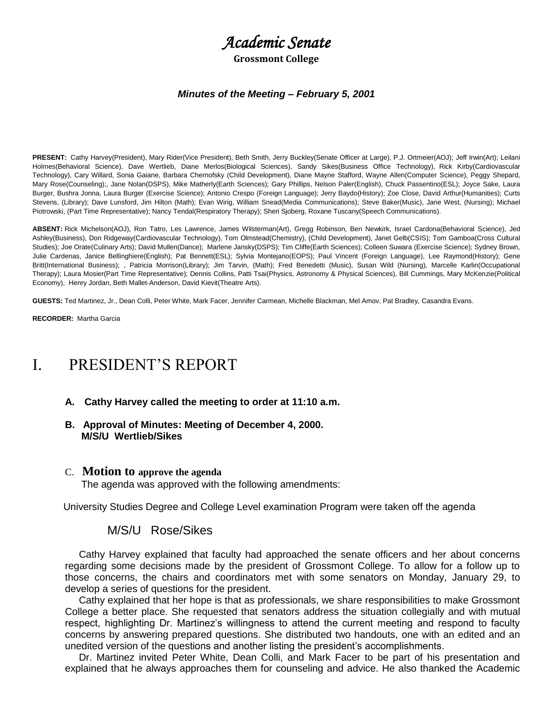# *Academic Senate*

#### **Grossmont College**

#### *Minutes of the Meeting* **–** *February 5, 2001*

**PRESENT:** Cathy Harvey(President), Mary Rider(Vice President), Beth Smith, Jerry Buckley(Senate Officer at Large), P.J. Ortmeier(AOJ); Jeff Irwin(Art); Leilani Holmes(Behavioral Science), Dave Wertlieb, Diane Merlos(Biological Sciences), Sandy Sikes(Business Office Technology), Rick Kirby(Cardiovascular Technology), Cary Willard, Sonia Gaiane, Barbara Chernofsky (Child Development), Diane Mayne Stafford, Wayne Allen(Computer Science), Peggy Shepard, Mary Rose(Counseling);, Jane Nolan(DSPS), Mike Matherly(Earth Sciences); Gary Phillips, Nelson Paler(English), Chuck Passentino(ESL); Joyce Sake, Laura Burger, Bushra Jonna, Laura Burger (Exercise Science); Antonio Crespo (Foreign Language); Jerry Baydo(History); Zoe Close, David Arthur(Humanities); Curts Stevens, (Library); Dave Lunsford, Jim Hilton (Math); Evan Wirig, William Snead(Media Communications); Steve Baker(Music), Jane West, (Nursing); Michael Piotrowski, (Part Time Representative); Nancy Tendal(Respiratory Therapy); Sheri Sjoberg, Roxane Tuscany(Speech Communications).

**ABSENT:** Rick Michelson(AOJ), Ron Tatro, Les Lawrence, James Wilsterman(Art), Gregg Robinson, Ben Newkirk, Israel Cardona(Behavioral Science), Jed Ashley(Business), Don Ridgeway(Cardiovascular Technology), Tom Olmstead(Chemistry), (Child Development), Janet Gelb(CSIS); Tom Gamboa(Cross Cultural Studies); Joe Orate(Culinary Arts); David Mullen(Dance); Marlene Jansky(DSPS); Tim Cliffe(Earth Sciences); Colleen Suwara (Exercise Science); Sydney Brown, Julie Cardenas, Janice Bellinghiere(English); Pat Bennett(ESL); Sylvia Montejano(EOPS); Paul Vincent (Foreign Language), Lee Raymond(History); Gene Britt(International Business); , Patricia Morrison(Library); Jim Tarvin, (Math); Fred Benedetti (Music), Susan Wild (Nursing), Marcelle Karlin(Occupational Therapy); Laura Mosier(Part Time Representative); Dennis Collins, Patti Tsai(Physics, Astronomy & Physical Sciences), Bill Cummings, Mary McKenzie(Political Economy), Henry Jordan, Beth Mallet-Anderson, David Kievit(Theatre Arts).

**GUESTS:** Ted Martinez, Jr., Dean Colli, Peter White, Mark Facer, Jennifer Carmean, Michelle Blackman, Mel Amov, Pat Bradley, Casandra Evans.

**RECORDER:** Martha Garcia

## I. PRESIDENT'S REPORT

- **A. Cathy Harvey called the meeting to order at 11:10 a.m.**
- **B. Approval of Minutes: Meeting of December 4, 2000. M/S/U Wertlieb/Sikes**

#### C. **Motion to approve the agenda**

The agenda was approved with the following amendments:

University Studies Degree and College Level examination Program were taken off the agenda

#### M/S/U Rose/Sikes

 Cathy Harvey explained that faculty had approached the senate officers and her about concerns regarding some decisions made by the president of Grossmont College. To allow for a follow up to those concerns, the chairs and coordinators met with some senators on Monday, January 29, to develop a series of questions for the president.

 Cathy explained that her hope is that as professionals, we share responsibilities to make Grossmont College a better place. She requested that senators address the situation collegially and with mutual respect, highlighting Dr. Martinez's willingness to attend the current meeting and respond to faculty concerns by answering prepared questions. She distributed two handouts, one with an edited and an unedited version of the questions and another listing the president's accomplishments.

 Dr. Martinez invited Peter White, Dean Colli, and Mark Facer to be part of his presentation and explained that he always approaches them for counseling and advice. He also thanked the Academic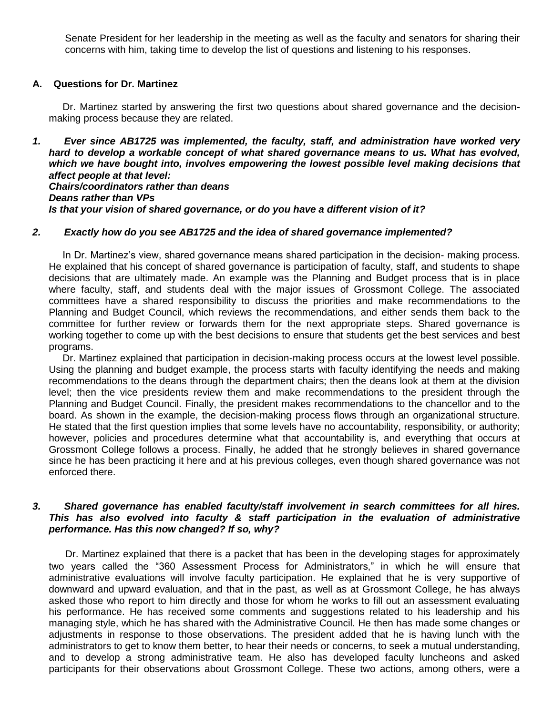Senate President for her leadership in the meeting as well as the faculty and senators for sharing their concerns with him, taking time to develop the list of questions and listening to his responses.

#### **A. Questions for Dr. Martinez**

 Dr. Martinez started by answering the first two questions about shared governance and the decisionmaking process because they are related.

*1. Ever since AB1725 was implemented, the faculty, staff, and administration have worked very*  hard to develop a workable concept of what shared governance means to us. What has evolved, *which we have bought into, involves empowering the lowest possible level making decisions that affect people at that level: Chairs/coordinators rather than deans Deans rather than VPs Is that your vision of shared governance, or do you have a different vision of it?*

#### *2. Exactly how do you see AB1725 and the idea of shared governance implemented?*

 In Dr. Martinez's view, shared governance means shared participation in the decision- making process. He explained that his concept of shared governance is participation of faculty, staff, and students to shape decisions that are ultimately made. An example was the Planning and Budget process that is in place where faculty, staff, and students deal with the major issues of Grossmont College. The associated committees have a shared responsibility to discuss the priorities and make recommendations to the Planning and Budget Council, which reviews the recommendations, and either sends them back to the committee for further review or forwards them for the next appropriate steps. Shared governance is working together to come up with the best decisions to ensure that students get the best services and best programs.

 Dr. Martinez explained that participation in decision-making process occurs at the lowest level possible. Using the planning and budget example, the process starts with faculty identifying the needs and making recommendations to the deans through the department chairs; then the deans look at them at the division level; then the vice presidents review them and make recommendations to the president through the Planning and Budget Council. Finally, the president makes recommendations to the chancellor and to the board. As shown in the example, the decision-making process flows through an organizational structure. He stated that the first question implies that some levels have no accountability, responsibility, or authority; however, policies and procedures determine what that accountability is, and everything that occurs at Grossmont College follows a process. Finally, he added that he strongly believes in shared governance since he has been practicing it here and at his previous colleges, even though shared governance was not enforced there.

#### *3. Shared governance has enabled faculty/staff involvement in search committees for all hires. This has also evolved into faculty & staff participation in the evaluation of administrative performance. Has this now changed? If so, why?*

Dr. Martinez explained that there is a packet that has been in the developing stages for approximately two years called the "360 Assessment Process for Administrators," in which he will ensure that administrative evaluations will involve faculty participation. He explained that he is very supportive of downward and upward evaluation, and that in the past, as well as at Grossmont College, he has always asked those who report to him directly and those for whom he works to fill out an assessment evaluating his performance. He has received some comments and suggestions related to his leadership and his managing style, which he has shared with the Administrative Council. He then has made some changes or adjustments in response to those observations. The president added that he is having lunch with the administrators to get to know them better, to hear their needs or concerns, to seek a mutual understanding, and to develop a strong administrative team. He also has developed faculty luncheons and asked participants for their observations about Grossmont College. These two actions, among others, were a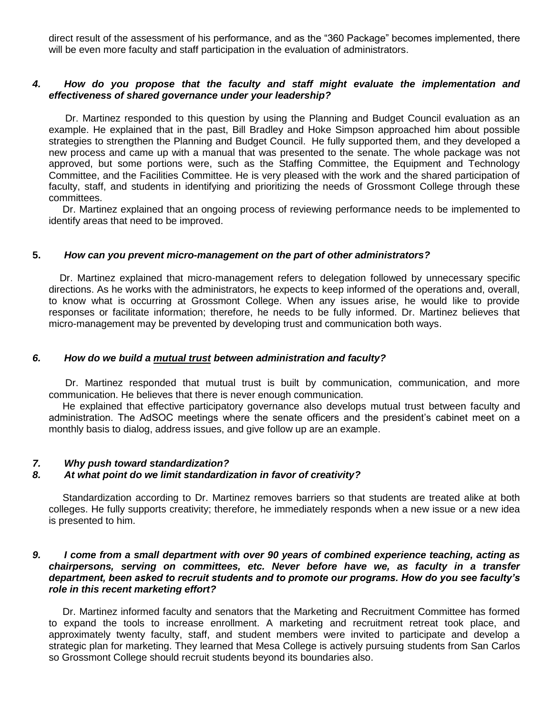direct result of the assessment of his performance, and as the "360 Package" becomes implemented, there will be even more faculty and staff participation in the evaluation of administrators.

#### *4. How do you propose that the faculty and staff might evaluate the implementation and effectiveness of shared governance under your leadership?*

 Dr. Martinez responded to this question by using the Planning and Budget Council evaluation as an example. He explained that in the past, Bill Bradley and Hoke Simpson approached him about possible strategies to strengthen the Planning and Budget Council. He fully supported them, and they developed a new process and came up with a manual that was presented to the senate. The whole package was not approved, but some portions were, such as the Staffing Committee, the Equipment and Technology Committee, and the Facilities Committee. He is very pleased with the work and the shared participation of faculty, staff, and students in identifying and prioritizing the needs of Grossmont College through these committees.

 Dr. Martinez explained that an ongoing process of reviewing performance needs to be implemented to identify areas that need to be improved.

#### **5.** *How can you prevent micro-management on the part of other administrators?*

Dr. Martinez explained that micro-management refers to delegation followed by unnecessary specific directions. As he works with the administrators, he expects to keep informed of the operations and, overall, to know what is occurring at Grossmont College. When any issues arise, he would like to provide responses or facilitate information; therefore, he needs to be fully informed. Dr. Martinez believes that micro-management may be prevented by developing trust and communication both ways.

#### *6. How do we build a mutual trust between administration and faculty?*

Dr. Martinez responded that mutual trust is built by communication, communication, and more communication. He believes that there is never enough communication.

 He explained that effective participatory governance also develops mutual trust between faculty and administration. The AdSOC meetings where the senate officers and the president's cabinet meet on a monthly basis to dialog, address issues, and give follow up are an example.

## *7. Why push toward standardization?*

#### *8. At what point do we limit standardization in favor of creativity?*

 Standardization according to Dr. Martinez removes barriers so that students are treated alike at both colleges. He fully supports creativity; therefore, he immediately responds when a new issue or a new idea is presented to him.

#### *9. I come from a small department with over 90 years of combined experience teaching, acting as chairpersons, serving on committees, etc. Never before have we, as faculty in a transfer department, been asked to recruit students and to promote our programs. How do you see faculty's role in this recent marketing effort?*

 Dr. Martinez informed faculty and senators that the Marketing and Recruitment Committee has formed to expand the tools to increase enrollment. A marketing and recruitment retreat took place, and approximately twenty faculty, staff, and student members were invited to participate and develop a strategic plan for marketing. They learned that Mesa College is actively pursuing students from San Carlos so Grossmont College should recruit students beyond its boundaries also.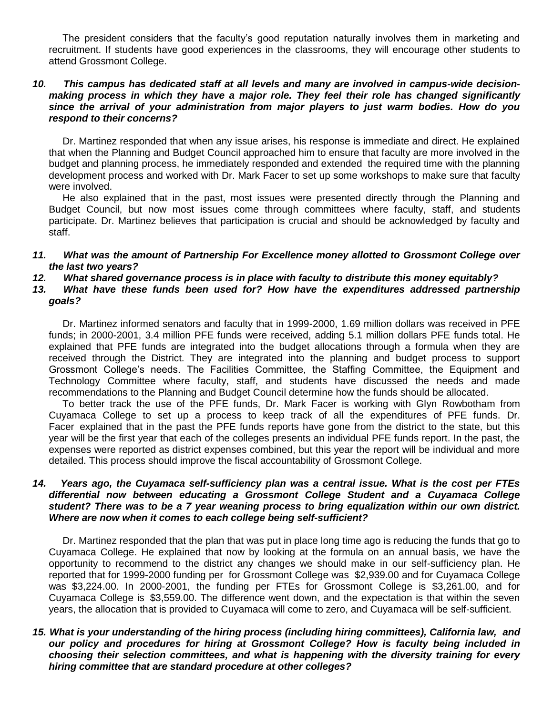The president considers that the faculty's good reputation naturally involves them in marketing and recruitment. If students have good experiences in the classrooms, they will encourage other students to attend Grossmont College.

#### *10. This campus has dedicated staff at all levels and many are involved in campus-wide decisionmaking process in which they have a major role. They feel their role has changed significantly since the arrival of your administration from major players to just warm bodies. How do you respond to their concerns?*

 Dr. Martinez responded that when any issue arises, his response is immediate and direct. He explained that when the Planning and Budget Council approached him to ensure that faculty are more involved in the budget and planning process, he immediately responded and extended the required time with the planning development process and worked with Dr. Mark Facer to set up some workshops to make sure that faculty were involved.

 He also explained that in the past, most issues were presented directly through the Planning and Budget Council, but now most issues come through committees where faculty, staff, and students participate. Dr. Martinez believes that participation is crucial and should be acknowledged by faculty and staff.

#### *11. What was the amount of Partnership For Excellence money allotted to Grossmont College over the last two years?*

*12. What shared governance process is in place with faculty to distribute this money equitably?*

## 13. What have these funds been used for? How have the expenditures addressed partnership *goals?*

 Dr. Martinez informed senators and faculty that in 1999-2000, 1.69 million dollars was received in PFE funds; in 2000-2001, 3.4 million PFE funds were received, adding 5.1 million dollars PFE funds total. He explained that PFE funds are integrated into the budget allocations through a formula when they are received through the District. They are integrated into the planning and budget process to support Grossmont College's needs. The Facilities Committee, the Staffing Committee, the Equipment and Technology Committee where faculty, staff, and students have discussed the needs and made recommendations to the Planning and Budget Council determine how the funds should be allocated.

 To better track the use of the PFE funds, Dr. Mark Facer is working with Glyn Rowbotham from Cuyamaca College to set up a process to keep track of all the expenditures of PFE funds. Dr. Facer explained that in the past the PFE funds reports have gone from the district to the state, but this year will be the first year that each of the colleges presents an individual PFE funds report. In the past, the expenses were reported as district expenses combined, but this year the report will be individual and more detailed. This process should improve the fiscal accountability of Grossmont College.

## *14. Years ago, the Cuyamaca self-sufficiency plan was a central issue. What is the cost per FTEs differential now between educating a Grossmont College Student and a Cuyamaca College student? There was to be a 7 year weaning process to bring equalization within our own district. Where are now when it comes to each college being self-sufficient?*

 Dr. Martinez responded that the plan that was put in place long time ago is reducing the funds that go to Cuyamaca College. He explained that now by looking at the formula on an annual basis, we have the opportunity to recommend to the district any changes we should make in our self-sufficiency plan. He reported that for 1999-2000 funding per for Grossmont College was \$2,939.00 and for Cuyamaca College was \$3,224.00. In 2000-2001, the funding per FTEs for Grossmont College is \$3,261.00, and for Cuyamaca College is \$3,559.00. The difference went down, and the expectation is that within the seven years, the allocation that is provided to Cuyamaca will come to zero, and Cuyamaca will be self-sufficient.

## *15. What is your understanding of the hiring process (including hiring committees), California law, and our policy and procedures for hiring at Grossmont College? How is faculty being included in choosing their selection committees, and what is happening with the diversity training for every hiring committee that are standard procedure at other colleges?*